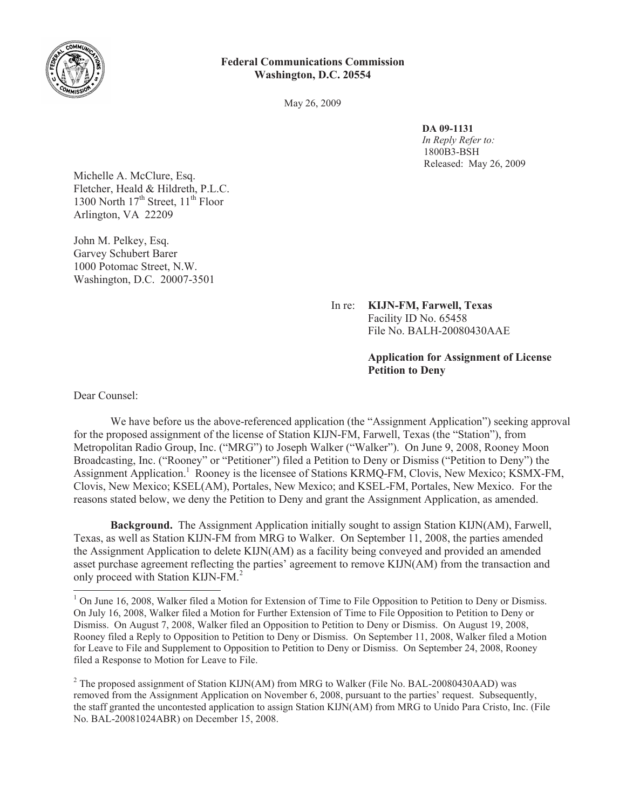

## **Federal Communications Commission Washington, D.C. 20554**

May 26, 2009

**DA 09-1131**

*In Reply Refer to:* 1800B3-BSH Released: May 26, 2009

Michelle A. McClure, Esq. Fletcher, Heald & Hildreth, P.L.C. 1300 North  $17<sup>th</sup>$  Street,  $11<sup>th</sup>$  Floor Arlington, VA 22209

John M. Pelkey, Esq. Garvey Schubert Barer 1000 Potomac Street, N.W. Washington, D.C. 20007-3501

> In re: **KIJN-FM, Farwell, Texas** Facility ID No. 65458 File No. BALH-20080430AAE

## **Application for Assignment of License Petition to Deny**

Dear Counsel:

We have before us the above-referenced application (the "Assignment Application") seeking approval for the proposed assignment of the license of Station KIJN-FM, Farwell, Texas (the "Station"), from Metropolitan Radio Group, Inc. ("MRG") to Joseph Walker ("Walker"). On June 9, 2008, Rooney Moon Broadcasting, Inc. ("Rooney" or "Petitioner") filed a Petition to Deny or Dismiss ("Petition to Deny") the Assignment Application.<sup>1</sup> Rooney is the licensee of Stations KRMQ-FM, Clovis, New Mexico; KSMX-FM, Clovis, New Mexico; KSEL(AM), Portales, New Mexico; and KSEL-FM, Portales, New Mexico. For the reasons stated below, we deny the Petition to Deny and grant the Assignment Application, as amended.

**Background.** The Assignment Application initially sought to assign Station KIJN(AM), Farwell, Texas, as well as Station KIJN-FM from MRG to Walker. On September 11, 2008, the parties amended the Assignment Application to delete KIJN(AM) as a facility being conveyed and provided an amended asset purchase agreement reflecting the parties' agreement to remove KIJN(AM) from the transaction and only proceed with Station KIJN-FM.<sup>2</sup>

 $1$  On June 16, 2008, Walker filed a Motion for Extension of Time to File Opposition to Petition to Deny or Dismiss. On July 16, 2008, Walker filed a Motion for Further Extension of Time to File Opposition to Petition to Deny or Dismiss. On August 7, 2008, Walker filed an Opposition to Petition to Deny or Dismiss. On August 19, 2008, Rooney filed a Reply to Opposition to Petition to Deny or Dismiss. On September 11, 2008, Walker filed a Motion for Leave to File and Supplement to Opposition to Petition to Deny or Dismiss. On September 24, 2008, Rooney filed a Response to Motion for Leave to File.

<sup>&</sup>lt;sup>2</sup> The proposed assignment of Station KIJN(AM) from MRG to Walker (File No. BAL-20080430AAD) was removed from the Assignment Application on November 6, 2008, pursuant to the parties' request. Subsequently, the staff granted the uncontested application to assign Station KIJN(AM) from MRG to Unido Para Cristo, Inc. (File No. BAL-20081024ABR) on December 15, 2008.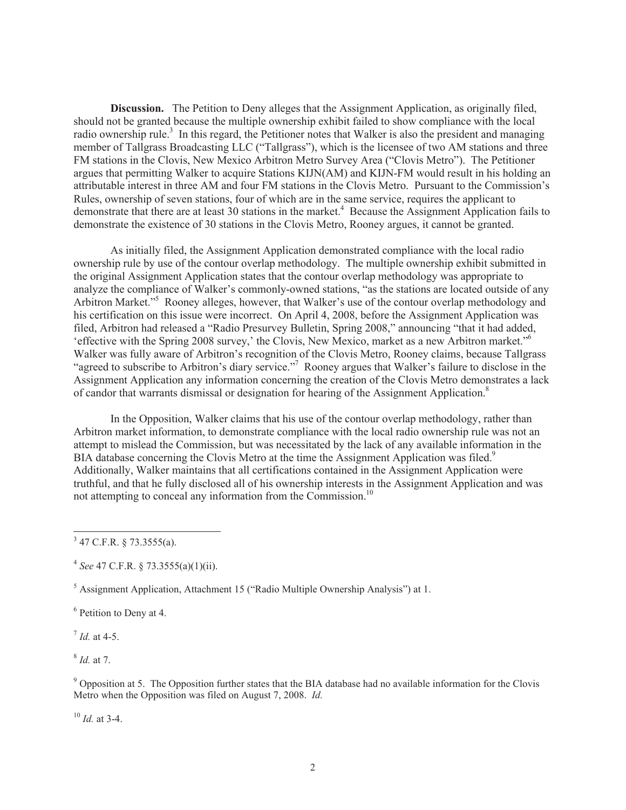**Discussion.** The Petition to Deny alleges that the Assignment Application, as originally filed, should not be granted because the multiple ownership exhibit failed to show compliance with the local radio ownership rule.<sup>3</sup> In this regard, the Petitioner notes that Walker is also the president and managing member of Tallgrass Broadcasting LLC ("Tallgrass"), which is the licensee of two AM stations and three FM stations in the Clovis, New Mexico Arbitron Metro Survey Area ("Clovis Metro"). The Petitioner argues that permitting Walker to acquire Stations KIJN(AM) and KIJN-FM would result in his holding an attributable interest in three AM and four FM stations in the Clovis Metro. Pursuant to the Commission's Rules, ownership of seven stations, four of which are in the same service, requires the applicant to demonstrate that there are at least 30 stations in the market.<sup>4</sup> Because the Assignment Application fails to demonstrate the existence of 30 stations in the Clovis Metro, Rooney argues, it cannot be granted.

As initially filed, the Assignment Application demonstrated compliance with the local radio ownership rule by use of the contour overlap methodology. The multiple ownership exhibit submitted in the original Assignment Application states that the contour overlap methodology was appropriate to analyze the compliance of Walker's commonly-owned stations, "as the stations are located outside of any Arbitron Market.<sup>"5</sup> Rooney alleges, however, that Walker's use of the contour overlap methodology and his certification on this issue were incorrect. On April 4, 2008, before the Assignment Application was filed, Arbitron had released a "Radio Presurvey Bulletin, Spring 2008," announcing "that it had added, 'effective with the Spring 2008 survey,' the Clovis, New Mexico, market as a new Arbitron market."<sup>6</sup> Walker was fully aware of Arbitron's recognition of the Clovis Metro, Rooney claims, because Tallgrass "agreed to subscribe to Arbitron's diary service."<sup>7</sup> Rooney argues that Walker's failure to disclose in the Assignment Application any information concerning the creation of the Clovis Metro demonstrates a lack of candor that warrants dismissal or designation for hearing of the Assignment Application.<sup>8</sup>

In the Opposition, Walker claims that his use of the contour overlap methodology, rather than Arbitron market information, to demonstrate compliance with the local radio ownership rule was not an attempt to mislead the Commission, but was necessitated by the lack of any available information in the BIA database concerning the Clovis Metro at the time the Assignment Application was filed.<sup>9</sup> Additionally, Walker maintains that all certifications contained in the Assignment Application were truthful, and that he fully disclosed all of his ownership interests in the Assignment Application and was not attempting to conceal any information from the Commission.<sup>10</sup>

7 *Id.* at 4-5.

8 *Id.* at 7.

<sup>9</sup> Opposition at 5. The Opposition further states that the BIA database had no available information for the Clovis Metro when the Opposition was filed on August 7, 2008. *Id.*

<sup>10</sup> *Id.* at 3-4.

 $3$  47 C.F.R. § 73.3555(a).

<sup>4</sup> *See* 47 C.F.R. § 73.3555(a)(1)(ii).

<sup>5</sup> Assignment Application, Attachment 15 ("Radio Multiple Ownership Analysis") at 1.

<sup>&</sup>lt;sup>6</sup> Petition to Deny at 4.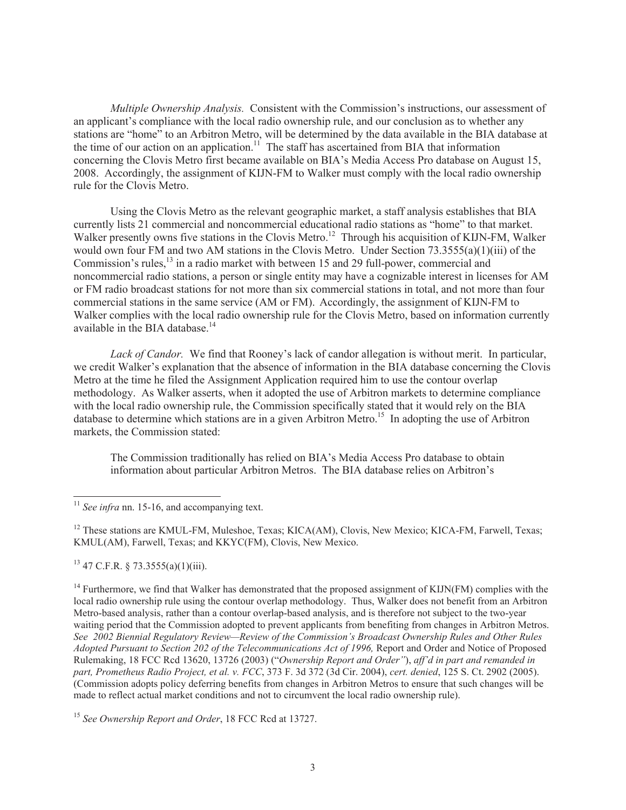*Multiple Ownership Analysis.* Consistent with the Commission's instructions, our assessment of an applicant's compliance with the local radio ownership rule, and our conclusion as to whether any stations are "home" to an Arbitron Metro, will be determined by the data available in the BIA database at the time of our action on an application.<sup>11</sup> The staff has ascertained from BIA that information concerning the Clovis Metro first became available on BIA's Media Access Pro database on August 15, 2008. Accordingly, the assignment of KIJN-FM to Walker must comply with the local radio ownership rule for the Clovis Metro.

Using the Clovis Metro as the relevant geographic market, a staff analysis establishes that BIA currently lists 21 commercial and noncommercial educational radio stations as "home" to that market. Walker presently owns five stations in the Clovis Metro.<sup>12</sup> Through his acquisition of KIJN-FM, Walker would own four FM and two AM stations in the Clovis Metro. Under Section 73.3555(a)(1)(iii) of the Commission's rules, $^{13}$  in a radio market with between 15 and 29 full-power, commercial and noncommercial radio stations, a person or single entity may have a cognizable interest in licenses for AM or FM radio broadcast stations for not more than six commercial stations in total, and not more than four commercial stations in the same service (AM or FM). Accordingly, the assignment of KIJN-FM to Walker complies with the local radio ownership rule for the Clovis Metro, based on information currently available in the BIA database.<sup>14</sup>

*Lack of Candor.* We find that Rooney's lack of candor allegation is without merit. In particular, we credit Walker's explanation that the absence of information in the BIA database concerning the Clovis Metro at the time he filed the Assignment Application required him to use the contour overlap methodology. As Walker asserts, when it adopted the use of Arbitron markets to determine compliance with the local radio ownership rule, the Commission specifically stated that it would rely on the BIA database to determine which stations are in a given Arbitron Metro.<sup>15</sup> In adopting the use of Arbitron markets, the Commission stated:

The Commission traditionally has relied on BIA's Media Access Pro database to obtain information about particular Arbitron Metros. The BIA database relies on Arbitron's

<sup>12</sup> These stations are KMUL-FM, Muleshoe, Texas; KICA(AM), Clovis, New Mexico; KICA-FM, Farwell, Texas; KMUL(AM), Farwell, Texas; and KKYC(FM), Clovis, New Mexico.

 $13$  47 C.F.R. § 73.3555(a)(1)(iii).

 $14$  Furthermore, we find that Walker has demonstrated that the proposed assignment of KIJN(FM) complies with the local radio ownership rule using the contour overlap methodology. Thus, Walker does not benefit from an Arbitron Metro-based analysis, rather than a contour overlap-based analysis, and is therefore not subject to the two-year waiting period that the Commission adopted to prevent applicants from benefiting from changes in Arbitron Metros. *See 2002 Biennial Regulatory Review—Review of the Commission's Broadcast Ownership Rules and Other Rules*  Adopted Pursuant to Section 202 of the Telecommunications Act of 1996, Report and Order and Notice of Proposed Rulemaking, 18 FCC Rcd 13620, 13726 (2003) ("*Ownership Report and Order"*), *aff'd in part and remanded in part, Prometheus Radio Project, et al. v. FCC*, 373 F. 3d 372 (3d Cir. 2004), *cert. denied*, 125 S. Ct. 2902 (2005). (Commission adopts policy deferring benefits from changes in Arbitron Metros to ensure that such changes will be made to reflect actual market conditions and not to circumvent the local radio ownership rule).

<sup>15</sup> *See Ownership Report and Order*, 18 FCC Rcd at 13727.

<sup>11</sup> *See infra* nn. 15-16, and accompanying text.